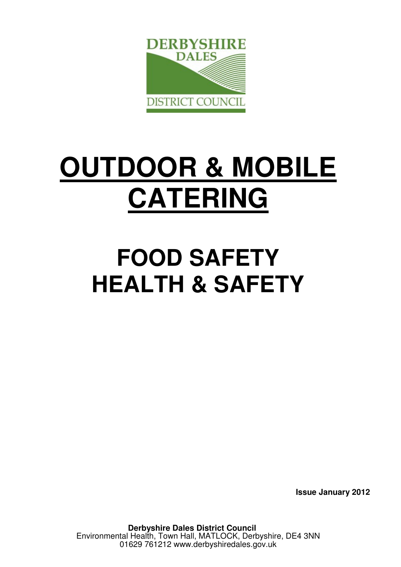

# **OUTDOOR & MOBILE CATERING**

## **FOOD SAFETY HEALTH & SAFETY**

 **Issue January 2012**

**Derbyshire Dales District Council**  Environmental Health, Town Hall, MATLOCK, Derbyshire, DE4 3NN 01629 761212 www.derbyshiredales.gov.uk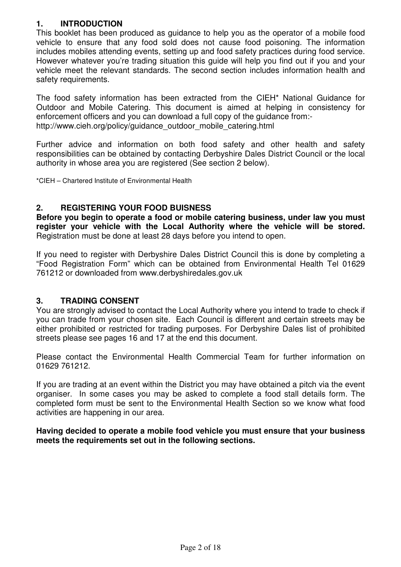#### **1. INTRODUCTION**

This booklet has been produced as guidance to help you as the operator of a mobile food vehicle to ensure that any food sold does not cause food poisoning. The information includes mobiles attending events, setting up and food safety practices during food service. However whatever you're trading situation this guide will help you find out if you and your vehicle meet the relevant standards. The second section includes information health and safety requirements.

The food safety information has been extracted from the CIEH\* National Guidance for Outdoor and Mobile Catering. This document is aimed at helping in consistency for enforcement officers and you can download a full copy of the guidance from: http://www.cieh.org/policy/guidance\_outdoor\_mobile\_catering.html

Further advice and information on both food safety and other health and safety responsibilities can be obtained by contacting Derbyshire Dales District Council or the local authority in whose area you are registered (See section 2 below).

\*CIEH – Chartered Institute of Environmental Health

#### **2. REGISTERING YOUR FOOD BUISNESS**

**Before you begin to operate a food or mobile catering business, under law you must register your vehicle with the Local Authority where the vehicle will be stored.** Registration must be done at least 28 days before you intend to open.

If you need to register with Derbyshire Dales District Council this is done by completing a "Food Registration Form" which can be obtained from Environmental Health Tel 01629 761212 or downloaded from www.derbyshiredales.gov.uk

#### **3. TRADING CONSENT**

You are strongly advised to contact the Local Authority where you intend to trade to check if you can trade from your chosen site. Each Council is different and certain streets may be either prohibited or restricted for trading purposes. For Derbyshire Dales list of prohibited streets please see pages 16 and 17 at the end this document.

Please contact the Environmental Health Commercial Team for further information on 01629 761212.

If you are trading at an event within the District you may have obtained a pitch via the event organiser. In some cases you may be asked to complete a food stall details form. The completed form must be sent to the Environmental Health Section so we know what food activities are happening in our area.

**Having decided to operate a mobile food vehicle you must ensure that your business meets the requirements set out in the following sections.**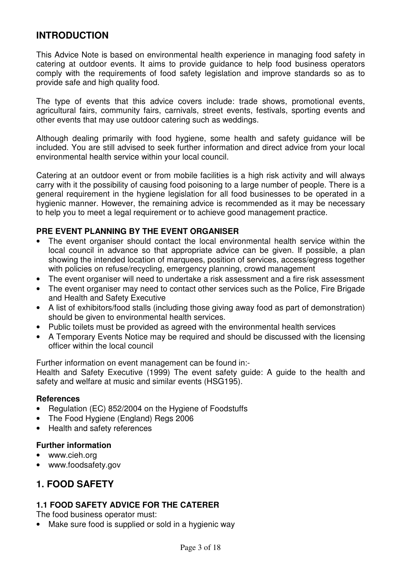## **INTRODUCTION**

This Advice Note is based on environmental health experience in managing food safety in catering at outdoor events. It aims to provide guidance to help food business operators comply with the requirements of food safety legislation and improve standards so as to provide safe and high quality food.

The type of events that this advice covers include: trade shows, promotional events, agricultural fairs, community fairs, carnivals, street events, festivals, sporting events and other events that may use outdoor catering such as weddings.

Although dealing primarily with food hygiene, some health and safety guidance will be included. You are still advised to seek further information and direct advice from your local environmental health service within your local council.

Catering at an outdoor event or from mobile facilities is a high risk activity and will always carry with it the possibility of causing food poisoning to a large number of people. There is a general requirement in the hygiene legislation for all food businesses to be operated in a hygienic manner. However, the remaining advice is recommended as it may be necessary to help you to meet a legal requirement or to achieve good management practice.

#### **PRE EVENT PLANNING BY THE EVENT ORGANISER**

- The event organiser should contact the local environmental health service within the local council in advance so that appropriate advice can be given. If possible, a plan showing the intended location of marquees, position of services, access/egress together with policies on refuse/recycling, emergency planning, crowd management
- The event organiser will need to undertake a risk assessment and a fire risk assessment
- The event organiser may need to contact other services such as the Police, Fire Brigade and Health and Safety Executive
- A list of exhibitors/food stalls (including those giving away food as part of demonstration) should be given to environmental health services.
- Public toilets must be provided as agreed with the environmental health services
- A Temporary Events Notice may be required and should be discussed with the licensing officer within the local council

Further information on event management can be found in:-

Health and Safety Executive (1999) The event safety guide: A guide to the health and safety and welfare at music and similar events (HSG195).

#### **References**

- Regulation (EC) 852/2004 on the Hygiene of Foodstuffs
- The Food Hygiene (England) Regs 2006
- Health and safety references

#### **Further information**

- www.cieh.org
- www.foodsafety.gov

## **1. FOOD SAFETY**

#### **1.1 FOOD SAFETY ADVICE FOR THE CATERER**

The food business operator must:

• Make sure food is supplied or sold in a hygienic way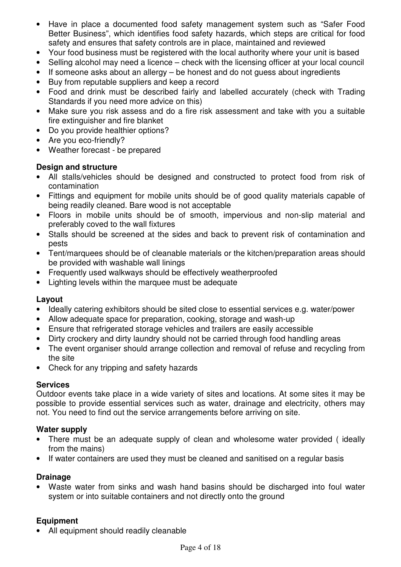- Have in place a documented food safety management system such as "Safer Food Better Business", which identifies food safety hazards, which steps are critical for food safety and ensures that safety controls are in place, maintained and reviewed
- Your food business must be registered with the local authority where your unit is based
- Selling alcohol may need a licence check with the licensing officer at your local council
- If someone asks about an allergy be honest and do not guess about ingredients
- Buy from reputable suppliers and keep a record
- Food and drink must be described fairly and labelled accurately (check with Trading Standards if you need more advice on this)
- Make sure you risk assess and do a fire risk assessment and take with you a suitable fire extinguisher and fire blanket
- Do you provide healthier options?
- Are you eco-friendly?
- Weather forecast be prepared

#### **Design and structure**

- All stalls/vehicles should be designed and constructed to protect food from risk of contamination
- Fittings and equipment for mobile units should be of good quality materials capable of being readily cleaned. Bare wood is not acceptable
- Floors in mobile units should be of smooth, impervious and non-slip material and preferably coved to the wall fixtures
- Stalls should be screened at the sides and back to prevent risk of contamination and pests
- Tent/marquees should be of cleanable materials or the kitchen/preparation areas should be provided with washable wall linings
- Frequently used walkways should be effectively weatherproofed
- Lighting levels within the marquee must be adequate

#### **Layout**

- Ideally catering exhibitors should be sited close to essential services e.g. water/power
- Allow adequate space for preparation, cooking, storage and wash-up
- Ensure that refrigerated storage vehicles and trailers are easily accessible
- Dirty crockery and dirty laundry should not be carried through food handling areas
- The event organiser should arrange collection and removal of refuse and recycling from the site
- Check for any tripping and safety hazards

#### **Services**

Outdoor events take place in a wide variety of sites and locations. At some sites it may be possible to provide essential services such as water, drainage and electricity, others may not. You need to find out the service arrangements before arriving on site.

#### **Water supply**

- There must be an adequate supply of clean and wholesome water provided ( ideally from the mains)
- If water containers are used they must be cleaned and sanitised on a regular basis

#### **Drainage**

• Waste water from sinks and wash hand basins should be discharged into foul water system or into suitable containers and not directly onto the ground

#### **Equipment**

• All equipment should readily cleanable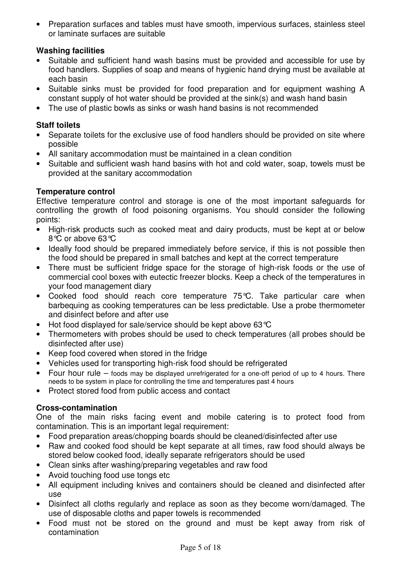• Preparation surfaces and tables must have smooth, impervious surfaces, stainless steel or laminate surfaces are suitable

#### **Washing facilities**

- Suitable and sufficient hand wash basins must be provided and accessible for use by food handlers. Supplies of soap and means of hygienic hand drying must be available at each basin
- Suitable sinks must be provided for food preparation and for equipment washing A constant supply of hot water should be provided at the sink(s) and wash hand basin
- The use of plastic bowls as sinks or wash hand basins is not recommended

#### **Staff toilets**

- Separate toilets for the exclusive use of food handlers should be provided on site where possible
- All sanitary accommodation must be maintained in a clean condition
- Suitable and sufficient wash hand basins with hot and cold water, soap, towels must be provided at the sanitary accommodation

#### **Temperature control**

Effective temperature control and storage is one of the most important safeguards for controlling the growth of food poisoning organisms. You should consider the following points:

- High-risk products such as cooked meat and dairy products, must be kept at or below 8°C or above 63°C
- Ideally food should be prepared immediately before service, if this is not possible then the food should be prepared in small batches and kept at the correct temperature
- There must be sufficient fridge space for the storage of high-risk foods or the use of commercial cool boxes with eutectic freezer blocks. Keep a check of the temperatures in your food management diary
- Cooked food should reach core temperature 75°C. Take particular care when barbequing as cooking temperatures can be less predictable. Use a probe thermometer and disinfect before and after use
- Hot food displayed for sale/service should be kept above 63°C
- Thermometers with probes should be used to check temperatures (all probes should be disinfected after use)
- Keep food covered when stored in the fridge
- Vehicles used for transporting high-risk food should be refrigerated
- Four hour rule foods may be displayed unrefrigerated for a one-off period of up to 4 hours. There needs to be system in place for controlling the time and temperatures past 4 hours
- Protect stored food from public access and contact

#### **Cross-contamination**

One of the main risks facing event and mobile catering is to protect food from contamination. This is an important legal requirement:

- Food preparation areas/chopping boards should be cleaned/disinfected after use
- Raw and cooked food should be kept separate at all times, raw food should always be stored below cooked food, ideally separate refrigerators should be used
- Clean sinks after washing/preparing vegetables and raw food
- Avoid touching food use tongs etc
- All equipment including knives and containers should be cleaned and disinfected after use
- Disinfect all cloths regularly and replace as soon as they become worn/damaged. The use of disposable cloths and paper towels is recommended
- Food must not be stored on the ground and must be kept away from risk of contamination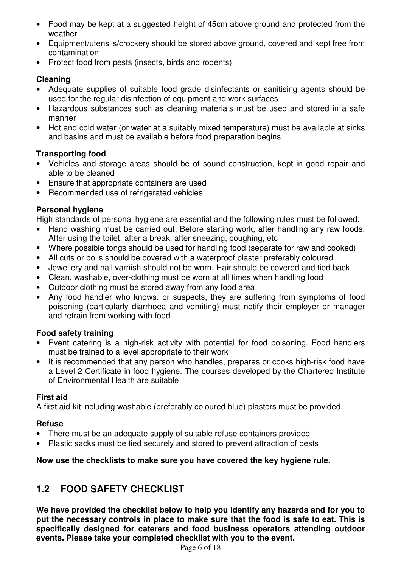- Food may be kept at a suggested height of 45cm above ground and protected from the weather
- Equipment/utensils/crockery should be stored above ground, covered and kept free from contamination
- Protect food from pests (insects, birds and rodents)

#### **Cleaning**

- Adequate supplies of suitable food grade disinfectants or sanitising agents should be used for the regular disinfection of equipment and work surfaces
- Hazardous substances such as cleaning materials must be used and stored in a safe manner
- Hot and cold water (or water at a suitably mixed temperature) must be available at sinks and basins and must be available before food preparation begins

#### **Transporting food**

- Vehicles and storage areas should be of sound construction, kept in good repair and able to be cleaned
- Ensure that appropriate containers are used
- Recommended use of refrigerated vehicles

#### **Personal hygiene**

High standards of personal hygiene are essential and the following rules must be followed:

- Hand washing must be carried out: Before starting work, after handling any raw foods. After using the toilet, after a break, after sneezing, coughing, etc
- Where possible tongs should be used for handling food (separate for raw and cooked)
- All cuts or boils should be covered with a waterproof plaster preferably coloured
- Jewellery and nail varnish should not be worn. Hair should be covered and tied back
- Clean, washable, over-clothing must be worn at all times when handling food
- Outdoor clothing must be stored away from any food area
- Any food handler who knows, or suspects, they are suffering from symptoms of food poisoning (particularly diarrhoea and vomiting) must notify their employer or manager and refrain from working with food

#### **Food safety training**

- Event catering is a high-risk activity with potential for food poisoning. Food handlers must be trained to a level appropriate to their work
- It is recommended that any person who handles, prepares or cooks high-risk food have a Level 2 Certificate in food hygiene. The courses developed by the Chartered Institute of Environmental Health are suitable

#### **First aid**

A first aid-kit including washable (preferably coloured blue) plasters must be provided.

#### **Refuse**

- There must be an adequate supply of suitable refuse containers provided
- Plastic sacks must be tied securely and stored to prevent attraction of pests

#### **Now use the checklists to make sure you have covered the key hygiene rule.**

## **1.2 FOOD SAFETY CHECKLIST**

**We have provided the checklist below to help you identify any hazards and for you to put the necessary controls in place to make sure that the food is safe to eat. This is specifically designed for caterers and food business operators attending outdoor events. Please take your completed checklist with you to the event.**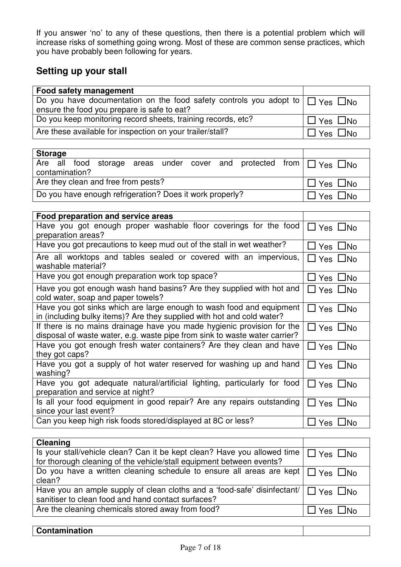If you answer 'no' to any of these questions, then there is a potential problem which will increase risks of something going wrong. Most of these are common sense practices, which you have probably been following for years.

## **Setting up your stall**

| <b>Food safety management</b>                                                           |                         |
|-----------------------------------------------------------------------------------------|-------------------------|
| Do you have documentation on the food safety controls you adopt to $\Box$ Yes $\Box$ No |                         |
| ensure the food you prepare is safe to eat?                                             |                         |
| Do you keep monitoring record sheets, training records, etc?                            | $\Box$ Yes $\Box$ No    |
| Are these available for inspection on your trailer/stall?                               | $\exists$ Yes $\Box$ No |

| <b>Storage</b>                                           |  |                |  |  |                      |  |  |                                                                                |  |
|----------------------------------------------------------|--|----------------|--|--|----------------------|--|--|--------------------------------------------------------------------------------|--|
|                                                          |  |                |  |  |                      |  |  | Are all food storage areas under cover and protected from $\Box$ Yes $\Box$ No |  |
|                                                          |  | contamination? |  |  |                      |  |  |                                                                                |  |
| Are they clean and free from pests?                      |  |                |  |  | $\Box$ Yes $\Box$ No |  |  |                                                                                |  |
| Do you have enough refrigeration? Does it work properly? |  |                |  |  | l Yes □No            |  |  |                                                                                |  |

| Food preparation and service areas                                                                                                                   |                            |
|------------------------------------------------------------------------------------------------------------------------------------------------------|----------------------------|
| Have you got enough proper washable floor coverings for the food<br>preparation areas?                                                               | $\Box$ Yes $\Box$ No       |
| Have you got precautions to keep mud out of the stall in wet weather?                                                                                | $\Box$ Yes $\Box$ No       |
| Are all worktops and tables sealed or covered with an impervious,<br>washable material?                                                              | $\Box$ Yes $\Box$ No       |
| Have you got enough preparation work top space?                                                                                                      | $\Box$ Yes $\Box$ No       |
| Have you got enough wash hand basins? Are they supplied with hot and<br>cold water, soap and paper towels?                                           | $\Box$ Yes $\Box$ No       |
| Have you got sinks which are large enough to wash food and equipment<br>in (including bulky items)? Are they supplied with hot and cold water?       | $\Box$ Yes $\Box$ No       |
| If there is no mains drainage have you made hygienic provision for the<br>disposal of waste water, e.g. waste pipe from sink to waste water carrier? | $\Box$ Yes $\Box$ No       |
| Have you got enough fresh water containers? Are they clean and have<br>they got caps?                                                                | $\Box$ Yes $\Box$ No       |
| Have you got a supply of hot water reserved for washing up and hand<br>washing?                                                                      | $\Box$ Yes $\Box$ No       |
| Have you got adequate natural/artificial lighting, particularly for food<br>preparation and service at night?                                        | $\Box$ Yes $\Box$ No       |
| Is all your food equipment in good repair? Are any repairs outstanding<br>since your last event?                                                     | $\square$ Yes $\square$ No |
| Can you keep high risk foods stored/displayed at 8C or less?                                                                                         | Yes □No                    |

| <b>Cleaning</b>                                                                                                                                                       |                      |
|-----------------------------------------------------------------------------------------------------------------------------------------------------------------------|----------------------|
| Is your stall/vehicle clean? Can it be kept clean? Have you allowed time $\Box$ Yes $\Box$ No<br>for thorough cleaning of the vehicle/stall equipment between events? |                      |
| Do you have a written cleaning schedule to ensure all areas are kept $\Box$ Yes $\Box$ No<br>clean?                                                                   |                      |
| Have you an ample supply of clean cloths and a 'food-safe' disinfectant/ $\Box$ Yes $\Box$ No<br>sanitiser to clean food and hand contact surfaces?                   |                      |
| Are the cleaning chemicals stored away from food?                                                                                                                     | $\Box$ Yes $\Box$ No |

|--|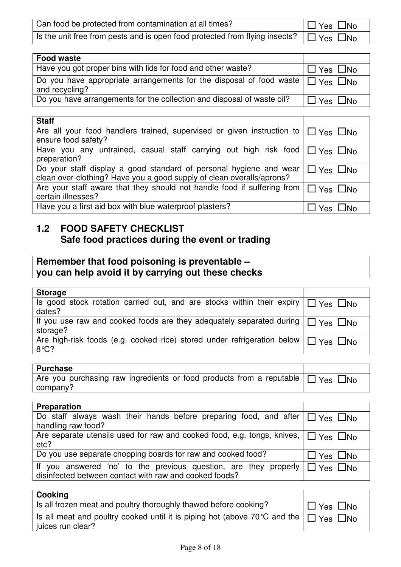| Can food be protected from contamination at all times?                                           | $\Box$ Yes $\Box$ No |
|--------------------------------------------------------------------------------------------------|----------------------|
| Is the unit free from pests and is open food protected from flying insects? $\Box$ Yes $\Box$ No |                      |

| Food waste                                                                                                 |                      |
|------------------------------------------------------------------------------------------------------------|----------------------|
| Have you got proper bins with lids for food and other waste?                                               | $\Box$ Yes $\Box$ No |
| Do you have appropriate arrangements for the disposal of food waste $\Box$ Yes $\Box$ No<br>and recycling? |                      |
| Do you have arrangements for the collection and disposal of waste oil?                                     | $\Box$ Yes $\Box$ No |

| <b>Staff</b>                                                                                |                      |
|---------------------------------------------------------------------------------------------|----------------------|
| Are all your food handlers trained, supervised or given instruction to $\Box$ Yes $\Box$ No |                      |
| ensure food safety?                                                                         |                      |
| Have you any untrained, casual staff carrying out high risk food $\Box$ Yes $\Box$ No       |                      |
| preparation?                                                                                |                      |
| Do your staff display a good standard of personal hygiene and wear                          | $\Box$ Yes $\Box$ No |
| clean over-clothing? Have you a good supply of clean overalls/aprons?                       |                      |
| Are your staff aware that they should not handle food if suffering from                     | $\Box$ Yes $\Box$ No |
| certain illnesses?                                                                          |                      |
| Have you a first aid box with blue waterproof plasters?                                     | ∐ Yes ∟No            |

## **1.2 FOOD SAFETY CHECKLIST Safe food practices during the event or trading**

## **Remember that food poisoning is preventable – you can help avoid it by carrying out these checks**

| <b>Storage</b>                                                                               |  |
|----------------------------------------------------------------------------------------------|--|
| Is good stock rotation carried out, and are stocks within their expiry $\Box$ Yes $\Box$ No  |  |
| dates?                                                                                       |  |
| If you use raw and cooked foods are they adequately separated during $\Box$ Yes $\Box$ No    |  |
| storage?                                                                                     |  |
| Are high-risk foods (e.g. cooked rice) stored under refrigeration below $\Box$ Yes $\Box$ No |  |
| $8^{\circ}C$ ?                                                                               |  |
|                                                                                              |  |

| <b>Purchase</b>                                                                           |  |
|-------------------------------------------------------------------------------------------|--|
| Are you purchasing raw ingredients or food products from a reputable $\Box$ Yes $\Box$ No |  |
| company?                                                                                  |  |

| <b>Preparation</b>                                                                                                                              |                      |
|-------------------------------------------------------------------------------------------------------------------------------------------------|----------------------|
| Do staff always wash their hands before preparing food, and after $\Box$ Yes $\Box$ No<br>handling raw food?                                    |                      |
| Are separate utensils used for raw and cooked food, e.g. tongs, knives, $\Box$ Yes $\Box$ No<br>etc?                                            |                      |
| Do you use separate chopping boards for raw and cooked food?                                                                                    | $\Box$ Yes $\Box$ No |
| If you answered 'no' to the previous question, are they properly $\Box$ Yes $\Box$ No<br>disinfected between contact with raw and cooked foods? |                      |

| <b>Cooking</b>                                                                                                       |                      |
|----------------------------------------------------------------------------------------------------------------------|----------------------|
| Is all frozen meat and poultry thoroughly thawed before cooking?                                                     | $\Box$ Yes $\Box$ No |
| Is all meat and poultry cooked until it is piping hot (above 70 °C and the $\Box$ Yes $\Box$ No<br>juices run clear? |                      |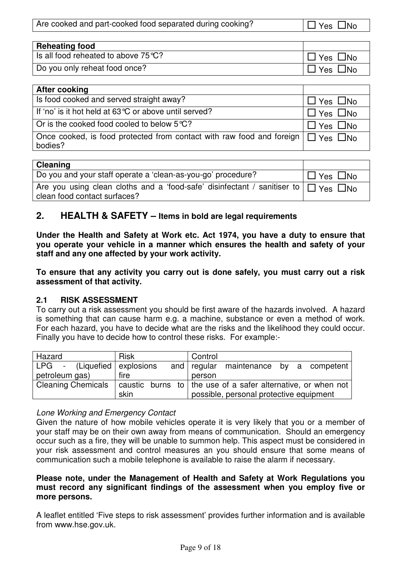|  | Are cooked and part-cooked food separated during cooking? | $\Box$ Yes $\Box$ No |
|--|-----------------------------------------------------------|----------------------|
|--|-----------------------------------------------------------|----------------------|

| <b>Reheating food</b>                         |                        |
|-----------------------------------------------|------------------------|
| Is all food reheated to above $75^{\circ}$ C? | $\Box$ No<br>Yes       |
| Do you only reheat food once?                 | $\square$ No<br>'Yes . |

| <b>After cooking</b>                                                                                  |                      |
|-------------------------------------------------------------------------------------------------------|----------------------|
| Is food cooked and served straight away?                                                              | $\Box$ Yes $\Box$ No |
| If 'no' is it hot held at 63 °C or above until served?                                                | $\Box$ Yes $\Box$ No |
| Or is the cooked food cooled to below $5^{\circ}C$ ?                                                  | $\Box$ Yes $\Box$ No |
| Once cooked, is food protected from contact with raw food and foreign $\Box$ Yes $\Box$ No<br>bodies? |                      |

| <b>Cleaning</b>                                                                               |                      |
|-----------------------------------------------------------------------------------------------|----------------------|
| Do you and your staff operate a 'clean-as-you-go' procedure?                                  | $\Box$ Yes $\Box$ No |
| Are you using clean cloths and a 'food-safe' disinfectant / sanitiser to $\Box$ Yes $\Box$ No |                      |
| clean food contact surfaces?                                                                  |                      |

## **2. HEALTH & SAFETY – Items in bold are legal requirements**

**Under the Health and Safety at Work etc. Act 1974, you have a duty to ensure that you operate your vehicle in a manner which ensures the health and safety of your staff and any one affected by your work activity.** 

**To ensure that any activity you carry out is done safely, you must carry out a risk assessment of that activity.** 

#### **2.1 RISK ASSESSMENT**

To carry out a risk assessment you should be first aware of the hazards involved. A hazard is something that can cause harm e.g. a machine, substance or even a method of work. For each hazard, you have to decide what are the risks and the likelihood they could occur. Finally you have to decide how to control these risks. For example:-

| Hazard                        | <b>Risk</b> | Control                                                                      |
|-------------------------------|-------------|------------------------------------------------------------------------------|
| $LPG$ - (Liquefied explosions |             | and $ $ regular<br>maintenance by a competent                                |
| petroleum gas)                | fire        | person                                                                       |
| <b>Cleaning Chemicals</b>     |             | $\vert$ caustic burns to $\vert$ the use of a safer alternative, or when not |
|                               | skin        | possible, personal protective equipment                                      |

#### Lone Working and Emergency Contact

Given the nature of how mobile vehicles operate it is very likely that you or a member of your staff may be on their own away from means of communication. Should an emergency occur such as a fire, they will be unable to summon help. This aspect must be considered in your risk assessment and control measures an you should ensure that some means of communication such a mobile telephone is available to raise the alarm if necessary.

#### **Please note, under the Management of Health and Safety at Work Regulations you must record any significant findings of the assessment when you employ five or more persons.**

A leaflet entitled 'Five steps to risk assessment' provides further information and is available from www.hse.gov.uk.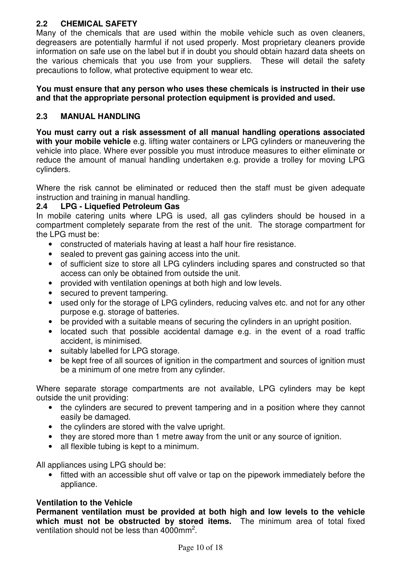## **2.2 CHEMICAL SAFETY**

Many of the chemicals that are used within the mobile vehicle such as oven cleaners, degreasers are potentially harmful if not used properly. Most proprietary cleaners provide information on safe use on the label but if in doubt you should obtain hazard data sheets on the various chemicals that you use from your suppliers. These will detail the safety precautions to follow, what protective equipment to wear etc.

#### **You must ensure that any person who uses these chemicals is instructed in their use and that the appropriate personal protection equipment is provided and used.**

#### **2.3 MANUAL HANDLING**

**You must carry out a risk assessment of all manual handling operations associated with your mobile vehicle** e.g. lifting water containers or LPG cylinders or maneuvering the vehicle into place. Where ever possible you must introduce measures to either eliminate or reduce the amount of manual handling undertaken e.g. provide a trolley for moving LPG cylinders.

Where the risk cannot be eliminated or reduced then the staff must be given adequate instruction and training in manual handling.

#### **2.4 LPG - Liquefied Petroleum Gas**

In mobile catering units where LPG is used, all gas cylinders should be housed in a compartment completely separate from the rest of the unit. The storage compartment for the LPG must be:

- constructed of materials having at least a half hour fire resistance.
- sealed to prevent gas gaining access into the unit.
- of sufficient size to store all LPG cylinders including spares and constructed so that access can only be obtained from outside the unit.
- provided with ventilation openings at both high and low levels.
- secured to prevent tampering.
- used only for the storage of LPG cylinders, reducing valves etc. and not for any other purpose e.g. storage of batteries.
- be provided with a suitable means of securing the cylinders in an upright position.
- located such that possible accidental damage e.g. in the event of a road traffic accident, is minimised.
- suitably labelled for LPG storage.
- be kept free of all sources of ignition in the compartment and sources of ignition must be a minimum of one metre from any cylinder.

Where separate storage compartments are not available, LPG cylinders may be kept outside the unit providing:

- the cylinders are secured to prevent tampering and in a position where they cannot easily be damaged.
- the cylinders are stored with the valve upright.
- they are stored more than 1 metre away from the unit or any source of ignition.
- all flexible tubing is kept to a minimum.

All appliances using LPG should be:

• fitted with an accessible shut off valve or tap on the pipework immediately before the appliance.

#### **Ventilation to the Vehicle**

**Permanent ventilation must be provided at both high and low levels to the vehicle which must not be obstructed by stored items.** The minimum area of total fixed ventilation should not be less than  $4000$ mm<sup>2</sup>.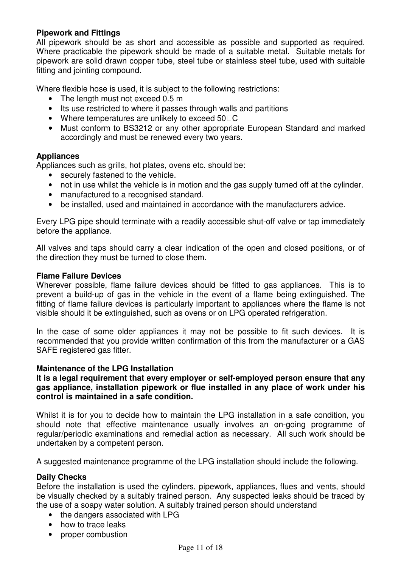#### **Pipework and Fittings**

All pipework should be as short and accessible as possible and supported as required. Where practicable the pipework should be made of a suitable metal. Suitable metals for pipework are solid drawn copper tube, steel tube or stainless steel tube, used with suitable fitting and jointing compound.

Where flexible hose is used, it is subject to the following restrictions:

- The length must not exceed 0.5 m
- Its use restricted to where it passes through walls and partitions
- Where temperatures are unlikely to exceed 50 C
- Must conform to BS3212 or any other appropriate European Standard and marked accordingly and must be renewed every two years.

#### **Appliances**

Appliances such as grills, hot plates, ovens etc. should be:

- securely fastened to the vehicle.
- not in use whilst the vehicle is in motion and the gas supply turned off at the cylinder.
- manufactured to a recognised standard.
- be installed, used and maintained in accordance with the manufacturers advice.

Every LPG pipe should terminate with a readily accessible shut-off valve or tap immediately before the appliance.

All valves and taps should carry a clear indication of the open and closed positions, or of the direction they must be turned to close them.

#### **Flame Failure Devices**

Wherever possible, flame failure devices should be fitted to gas appliances. This is to prevent a build-up of gas in the vehicle in the event of a flame being extinguished. The fitting of flame failure devices is particularly important to appliances where the flame is not visible should it be extinguished, such as ovens or on LPG operated refrigeration.

In the case of some older appliances it may not be possible to fit such devices. It is recommended that you provide written confirmation of this from the manufacturer or a GAS SAFE registered gas fitter.

#### **Maintenance of the LPG Installation**

**It is a legal requirement that every employer or self-employed person ensure that any gas appliance, installation pipework or flue installed in any place of work under his control is maintained in a safe condition.**

Whilst it is for you to decide how to maintain the LPG installation in a safe condition, you should note that effective maintenance usually involves an on-going programme of regular/periodic examinations and remedial action as necessary. All such work should be undertaken by a competent person.

A suggested maintenance programme of the LPG installation should include the following.

#### **Daily Checks**

Before the installation is used the cylinders, pipework, appliances, flues and vents, should be visually checked by a suitably trained person. Any suspected leaks should be traced by the use of a soapy water solution. A suitably trained person should understand

- the dangers associated with LPG
- how to trace leaks
- proper combustion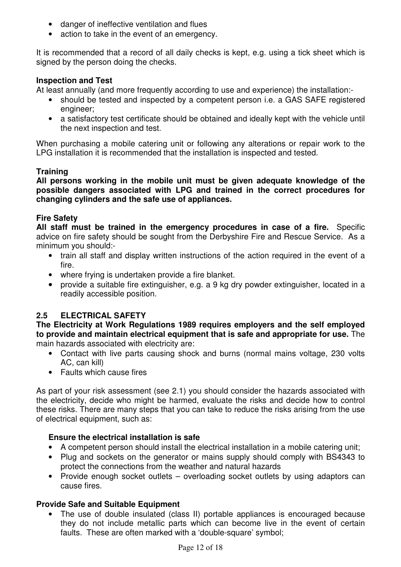- danger of ineffective ventilation and flues
- action to take in the event of an emergency.

It is recommended that a record of all daily checks is kept, e.g. using a tick sheet which is signed by the person doing the checks.

#### **Inspection and Test**

At least annually (and more frequently according to use and experience) the installation:-

- should be tested and inspected by a competent person i.e. a GAS SAFE registered engineer;
- a satisfactory test certificate should be obtained and ideally kept with the vehicle until the next inspection and test.

When purchasing a mobile catering unit or following any alterations or repair work to the LPG installation it is recommended that the installation is inspected and tested.

#### **Training**

**All persons working in the mobile unit must be given adequate knowledge of the possible dangers associated with LPG and trained in the correct procedures for changing cylinders and the safe use of appliances.** 

#### **Fire Safety**

**All staff must be trained in the emergency procedures in case of a fire.** Specific advice on fire safety should be sought from the Derbyshire Fire and Rescue Service. As a minimum you should:-

- train all staff and display written instructions of the action required in the event of a fire.
- where frying is undertaken provide a fire blanket.
- provide a suitable fire extinguisher, e.g. a 9 kg dry powder extinguisher, located in a readily accessible position.

#### **2.5 ELECTRICAL SAFETY**

**The Electricity at Work Regulations 1989 requires employers and the self employed to provide and maintain electrical equipment that is safe and appropriate for use.** The main hazards associated with electricity are:

- Contact with live parts causing shock and burns (normal mains voltage, 230 volts AC, can kill)
- Faults which cause fires

As part of your risk assessment (see 2.1) you should consider the hazards associated with the electricity, decide who might be harmed, evaluate the risks and decide how to control these risks. There are many steps that you can take to reduce the risks arising from the use of electrical equipment, such as:

#### **Ensure the electrical installation is safe**

- A competent person should install the electrical installation in a mobile catering unit;
- Plug and sockets on the generator or mains supply should comply with BS4343 to protect the connections from the weather and natural hazards
- Provide enough socket outlets overloading socket outlets by using adaptors can cause fires.

#### **Provide Safe and Suitable Equipment**

• The use of double insulated (class II) portable appliances is encouraged because they do not include metallic parts which can become live in the event of certain faults. These are often marked with a 'double-square' symbol;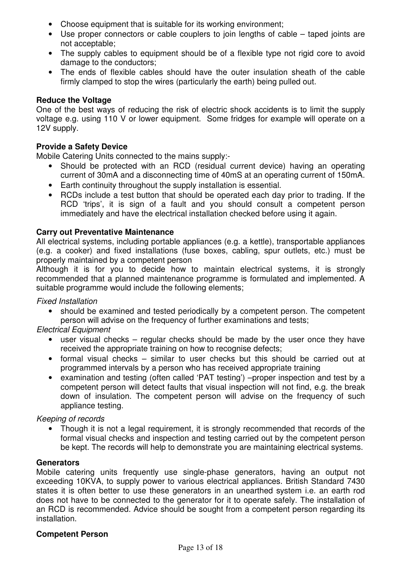- Choose equipment that is suitable for its working environment;
- Use proper connectors or cable couplers to join lengths of cable taped joints are not acceptable;
- The supply cables to equipment should be of a flexible type not rigid core to avoid damage to the conductors;
- The ends of flexible cables should have the outer insulation sheath of the cable firmly clamped to stop the wires (particularly the earth) being pulled out.

#### **Reduce the Voltage**

One of the best ways of reducing the risk of electric shock accidents is to limit the supply voltage e.g. using 110 V or lower equipment. Some fridges for example will operate on a 12V supply.

#### **Provide a Safety Device**

Mobile Catering Units connected to the mains supply:-

- Should be protected with an RCD (residual current device) having an operating current of 30mA and a disconnecting time of 40mS at an operating current of 150mA.
- Earth continuity throughout the supply installation is essential.
- RCDs include a test button that should be operated each day prior to trading. If the RCD 'trips', it is sign of a fault and you should consult a competent person immediately and have the electrical installation checked before using it again.

#### **Carry out Preventative Maintenance**

All electrical systems, including portable appliances (e.g. a kettle), transportable appliances (e.g. a cooker) and fixed installations (fuse boxes, cabling, spur outlets, etc.) must be properly maintained by a competent person

Although it is for you to decide how to maintain electrical systems, it is strongly recommended that a planned maintenance programme is formulated and implemented. A suitable programme would include the following elements;

#### Fixed Installation

• should be examined and tested periodically by a competent person. The competent person will advise on the frequency of further examinations and tests;

Electrical Equipment

- user visual checks regular checks should be made by the user once they have received the appropriate training on how to recognise defects;
- formal visual checks similar to user checks but this should be carried out at programmed intervals by a person who has received appropriate training
- examination and testing (often called 'PAT testing') –proper inspection and test by a competent person will detect faults that visual inspection will not find, e.g. the break down of insulation. The competent person will advise on the frequency of such appliance testing.

#### Keeping of records

• Though it is not a legal requirement, it is strongly recommended that records of the formal visual checks and inspection and testing carried out by the competent person be kept. The records will help to demonstrate you are maintaining electrical systems.

#### **Generators**

Mobile catering units frequently use single-phase generators, having an output not exceeding 10KVA, to supply power to various electrical appliances. British Standard 7430 states it is often better to use these generators in an unearthed system i.e. an earth rod does not have to be connected to the generator for it to operate safely. The installation of an RCD is recommended. Advice should be sought from a competent person regarding its installation.

#### **Competent Person**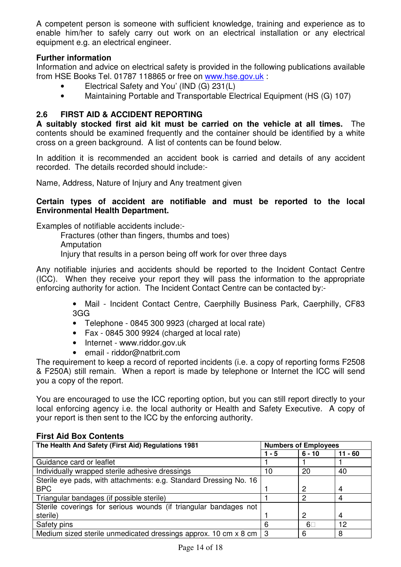A competent person is someone with sufficient knowledge, training and experience as to enable him/her to safely carry out work on an electrical installation or any electrical equipment e.g. an electrical engineer.

#### **Further information**

Information and advice on electrical safety is provided in the following publications available from HSE Books Tel. 01787 118865 or free on www.hse.gov.uk :

- Electrical Safety and You' (IND (G) 231(L)
- Maintaining Portable and Transportable Electrical Equipment (HS (G) 107)

#### **2.6 FIRST AID & ACCIDENT REPORTING**

**A suitably stocked first aid kit must be carried on the vehicle at all times.** The contents should be examined frequently and the container should be identified by a white cross on a green background. A list of contents can be found below.

In addition it is recommended an accident book is carried and details of any accident recorded. The details recorded should include:-

Name, Address, Nature of Injury and Any treatment given

#### **Certain types of accident are notifiable and must be reported to the local Environmental Health Department.**

Examples of notifiable accidents include:-

 Fractures (other than fingers, thumbs and toes) Amputation

Injury that results in a person being off work for over three days

Any notifiable injuries and accidents should be reported to the Incident Contact Centre (ICC). When they receive your report they will pass the information to the appropriate enforcing authority for action. The Incident Contact Centre can be contacted by:-

> • Mail - Incident Contact Centre, Caerphilly Business Park, Caerphilly, CF83 3GG

- Telephone 0845 300 9923 (charged at local rate)
- Fax 0845 300 9924 (charged at local rate)
- Internet www.riddor.gov.uk
- email riddor@natbrit.com

The requirement to keep a record of reported incidents (i.e. a copy of reporting forms F2508 & F250A) still remain. When a report is made by telephone or Internet the ICC will send you a copy of the report.

You are encouraged to use the ICC reporting option, but you can still report directly to your local enforcing agency i.e. the local authority or Health and Safety Executive. A copy of your report is then sent to the ICC by the enforcing authority.

| The Health And Safety (First Aid) Regulations 1981                | <b>Numbers of Employees</b> |          |         |
|-------------------------------------------------------------------|-----------------------------|----------|---------|
|                                                                   | 1 - 5                       | $6 - 10$ | 11 - 60 |
| Guidance card or leaflet                                          |                             |          |         |
| Individually wrapped sterile adhesive dressings                   | 10                          | 20       | 40      |
| Sterile eye pads, with attachments: e.g. Standard Dressing No. 16 |                             |          |         |
| <b>BPC</b>                                                        |                             | 2        | 4       |
| Triangular bandages (if possible sterile)                         |                             | 2        | 4       |
| Sterile coverings for serious wounds (if triangular bandages not  |                             |          |         |
| sterile)                                                          |                             | 2        | 4       |
| Safety pins                                                       | 6                           | 6        | 12      |
| Medium sized sterile unmedicated dressings approx. 10 cm x 8 cm   | 3                           | 6        | 8       |

#### **First Aid Box Contents**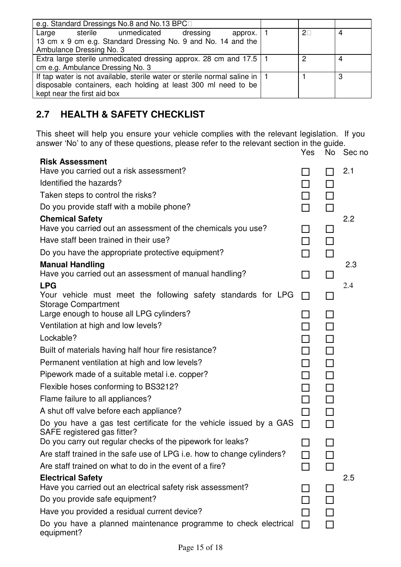| e.g. Standard Dressings No.8 and No.13 BPC                                                                                                                                        |  |   |
|-----------------------------------------------------------------------------------------------------------------------------------------------------------------------------------|--|---|
| sterile unmedicated<br>Large<br>dressing<br>approx.<br>13 cm x 9 cm e.g. Standard Dressing No. 9 and No. 14 and the<br>Ambulance Dressing No. 3                                   |  | 4 |
| Extra large sterile unmedicated dressing approx. 28 cm and 17.5  <br>cm e.g. Ambulance Dressing No. 3                                                                             |  | 4 |
| If tap water is not available, sterile water or sterile normal saline in $\vert$<br>disposable containers, each holding at least 300 ml need to be<br>kept near the first aid box |  | 3 |

## **2.7 HEALTH & SAFETY CHECKLIST**

This sheet will help you ensure your vehicle complies with the relevant legislation. If you answer 'No' to any of these questions, please refer to the relevant section in the guide.

|                                                                                                   | Yes                 | No.    | Sec no |
|---------------------------------------------------------------------------------------------------|---------------------|--------|--------|
| <b>Risk Assessment</b><br>Have you carried out a risk assessment?                                 |                     |        | 2.1    |
| Identified the hazards?                                                                           |                     |        |        |
| Taken steps to control the risks?                                                                 | $\blacksquare$<br>┑ |        |        |
| Do you provide staff with a mobile phone?                                                         |                     | $\Box$ |        |
| <b>Chemical Safety</b>                                                                            |                     |        | 2.2    |
| Have you carried out an assessment of the chemicals you use?                                      |                     | ΙI     |        |
| Have staff been trained in their use?                                                             |                     |        |        |
| Do you have the appropriate protective equipment?                                                 |                     | П      |        |
| <b>Manual Handling</b>                                                                            |                     |        | 2.3    |
| Have you carried out an assessment of manual handling?                                            | П                   | ΙI     |        |
| <b>LPG</b>                                                                                        |                     |        | 2.4    |
| Your vehicle must meet the following safety standards for LPG<br><b>Storage Compartment</b>       | $\mathbf{L}$        |        |        |
| Large enough to house all LPG cylinders?                                                          |                     | $\Box$ |        |
| Ventilation at high and low levels?                                                               |                     | П      |        |
| Lockable?                                                                                         |                     | $\Box$ |        |
| Built of materials having half hour fire resistance?                                              |                     | П      |        |
| Permanent ventilation at high and low levels?                                                     |                     | $\Box$ |        |
| Pipework made of a suitable metal <i>i.e.</i> copper?                                             |                     | П      |        |
| Flexible hoses conforming to BS3212?                                                              |                     | $\Box$ |        |
| Flame failure to all appliances?                                                                  |                     | П      |        |
| A shut off valve before each appliance?                                                           | П                   | $\Box$ |        |
| Do you have a gas test certificate for the vehicle issued by a GAS<br>SAFE registered gas fitter? | П                   |        |        |
| Do you carry out regular checks of the pipework for leaks?                                        |                     |        |        |
| Are staff trained in the safe use of LPG i.e. how to change cylinders?                            |                     |        |        |
| Are staff trained on what to do in the event of a fire?                                           |                     |        |        |
| <b>Electrical Safety</b>                                                                          |                     |        | 2.5    |
| Have you carried out an electrical safety risk assessment?                                        |                     |        |        |
| Do you provide safe equipment?                                                                    |                     |        |        |
| Have you provided a residual current device?                                                      |                     |        |        |
| Do you have a planned maintenance programme to check electrical<br>equipment?                     |                     |        |        |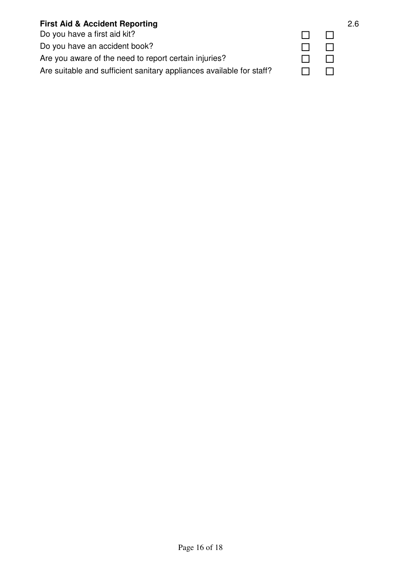#### **First Aid & Accident Reporting** 2.6

Do you have a first aid kit?  $\Box$ Do you have an accident book? <br>
and the contract of the contract of the contract of the contract of the contract of the contract of the contract of the contract of the contract of the contract of the contract of the contra Are you aware of the need to report certain injuries?  $\Box$ Are suitable and sufficient sanitary appliances available for staff?  $\Box$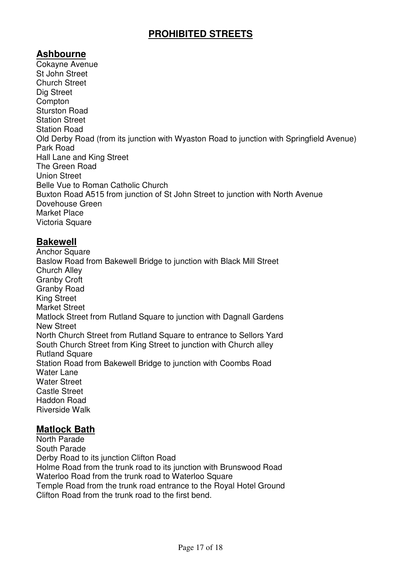## **PROHIBITED STREETS**

## **Ashbourne**

Cokayne Avenue St John Street Church Street Dig Street **Compton** Sturston Road Station Street Station Road Old Derby Road (from its junction with Wyaston Road to junction with Springfield Avenue) Park Road Hall Lane and King Street The Green Road Union Street Belle Vue to Roman Catholic Church Buxton Road A515 from junction of St John Street to junction with North Avenue Dovehouse Green Market Place Victoria Square

## **Bakewell**

**Anchor Square** Baslow Road from Bakewell Bridge to junction with Black Mill Street Church Alley Granby Croft Granby Road King Street Market Street Matlock Street from Rutland Square to junction with Dagnall Gardens New Street North Church Street from Rutland Square to entrance to Sellors Yard South Church Street from King Street to junction with Church alley Rutland Square Station Road from Bakewell Bridge to junction with Coombs Road Water Lane Water Street Castle Street Haddon Road Riverside Walk

#### **Matlock Bath**

North Parade South Parade Derby Road to its junction Clifton Road Holme Road from the trunk road to its junction with Brunswood Road Waterloo Road from the trunk road to Waterloo Square Temple Road from the trunk road entrance to the Royal Hotel Ground Clifton Road from the trunk road to the first bend.